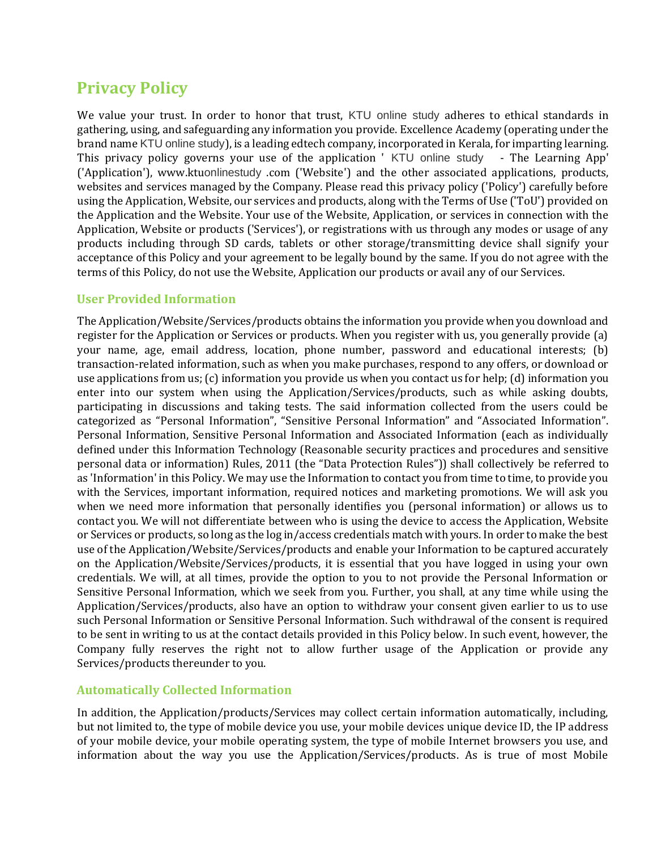# **Privacy Policy**

We value your trust. In order to honor that trust, KTU online study adheres to ethical standards in gathering, using, and safeguarding any information you provide. Excellence Academy (operating under the brand name KTU online study), is a leading edtech company, incorporated in Kerala, for imparting learning. This privacy policy governs your use of the application ' KTU online study - The Learning App' ('Application'), www.ktuonlinestudy .com ('Website') and the other associated applications, products, websites and services managed by the Company. Please read this privacy policy ('Policy') carefully before using the Application, Website, our services and products, along with the Terms of Use ('ToU') provided on the Application and the Website. Your use of the Website, Application, or services in connection with the Application, Website or products ('Services'), or registrations with us through any modes or usage of any products including through SD cards, tablets or other storage/transmitting device shall signify your acceptance of this Policy and your agreement to be legally bound by the same. If you do not agree with the terms of this Policy, do not use the Website, Application our products or avail any of our Services.

## **User Provided Information**

The Application/Website/Services/products obtains the information you provide when you download and register for the Application or Services or products. When you register with us, you generally provide (a) your name, age, email address, location, phone number, password and educational interests; (b) transaction-related information, such as when you make purchases, respond to any offers, or download or use applications from us; (c) information you provide us when you contact us for help; (d) information you enter into our system when using the Application/Services/products, such as while asking doubts, participating in discussions and taking tests. The said information collected from the users could be categorized as "Personal Information", "Sensitive Personal Information" and "Associated Information". Personal Information, Sensitive Personal Information and Associated Information (each as individually defined under this Information Technology (Reasonable security practices and procedures and sensitive personal data or information) Rules, 2011 (the "Data Protection Rules")) shall collectively be referred to as 'Information' in this Policy. We may use the Information to contact you from time to time, to provide you with the Services, important information, required notices and marketing promotions. We will ask you when we need more information that personally identifies you (personal information) or allows us to contact you. We will not differentiate between who is using the device to access the Application, Website or Services or products, so long as the log in/access credentials match with yours. In order to make the best use of the Application/Website/Services/products and enable your Information to be captured accurately on the Application/Website/Services/products, it is essential that you have logged in using your own credentials. We will, at all times, provide the option to you to not provide the Personal Information or Sensitive Personal Information, which we seek from you. Further, you shall, at any time while using the Application/Services/products, also have an option to withdraw your consent given earlier to us to use such Personal Information or Sensitive Personal Information. Such withdrawal of the consent is required to be sent in writing to us at the contact details provided in this Policy below. In such event, however, the Company fully reserves the right not to allow further usage of the Application or provide any Services/products thereunder to you.

## **Automatically Collected Information**

In addition, the Application/products/Services may collect certain information automatically, including, but not limited to, the type of mobile device you use, your mobile devices unique device ID, the IP address of your mobile device, your mobile operating system, the type of mobile Internet browsers you use, and information about the way you use the Application/Services/products. As is true of most Mobile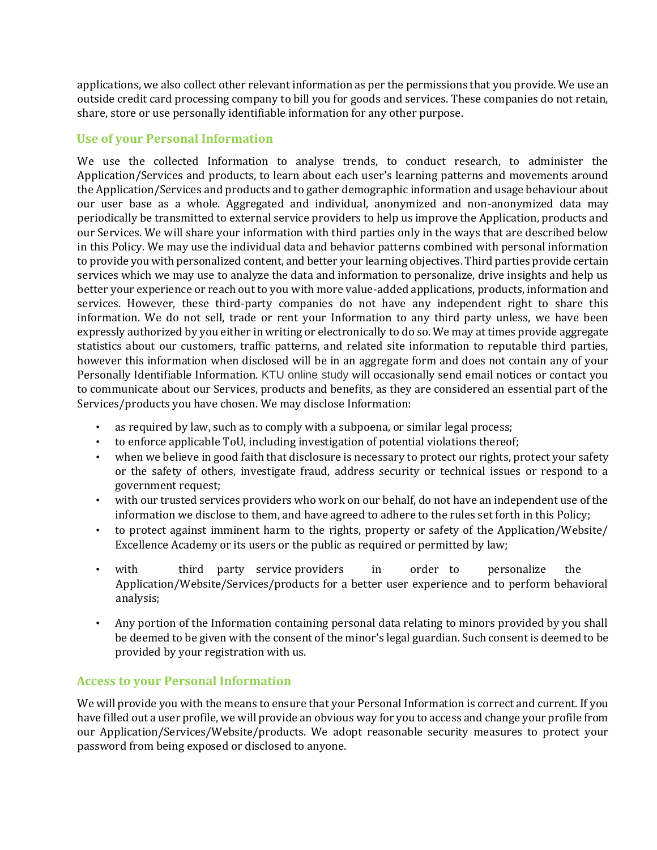applications, we also collect other relevant information as per the permissions that you provide. We use an outside credit card processing company to bill you for goods and services. These companies do not retain, share, store or use personally identifiable information for any other purpose.

## **Use of your Personal Information**

We use the collected Information to analyse trends, to conduct research, to administer the Application/Services and products, to learn about each user's learning patterns and movements around the Application/Services and products and to gather demographic information and usage behaviour about our user base as a whole. Aggregated and individual, anonymized and non-anonymized data may periodically be transmitted to external service providers to help us improve the Application, products and our Services. We will share your information with third parties only in the ways that are described below in this Policy. We may use the individual data and behavior patterns combined with personal information to provide you with personalized content, and better your learning objectives. Third parties provide certain services which we may use to analyze the data and information to personalize, drive insights and help us better your experience or reach out to you with more value-added applications, products, information and services. However, these third-party companies do not have any independent right to share this information. We do not sell, trade or rent your Information to any third party unless, we have been expressly authorized by you either in writing or electronically to do so. We may at times provide aggregate statistics about our customers, traffic patterns, and related site information to reputable third parties, however this information when disclosed will be in an aggregate form and does not contain any of your Personally Identifiable Information. KTU online study will occasionally send email notices or contact you to communicate about our Services, products and benefits, as they are considered an essential part of the Services/products you have chosen. We may disclose Information:

- as required by law, such as to comply with a subpoena, or similar legal process;
- to enforce applicable ToU, including investigation of potential violations thereof;
- when we believe in good faith that disclosure is necessary to protect our rights, protect your safety or the safety of others, investigate fraud, address security or technical issues or respond to a government request;
- with our trusted services providers who work on our behalf, do not have an independent use of the information we disclose to them, and have agreed to adhere to the rules set forth in this Policy;
- to protect against imminent harm to the rights, property or safety of the Application/Website/ Excellence Academy or its users or the public as required or permitted by law;
- with third party service providers in order to personalize the Application/Website/Services/products for a better user experience and to perform behavioral analysis;
- Any portion of the Information containing personal data relating to minors provided by you shall be deemed to be given with the consent of the minor's legal guardian. Such consent is deemed to be provided by your registration with us.

## **Access to your Personal Information**

We will provide you with the means to ensure that your Personal Information is correct and current. If you have filled out a user profile, we will provide an obvious way for you to access and change your profile from our Application/Services/Website/products. We adopt reasonable security measures to protect your password from being exposed or disclosed to anyone.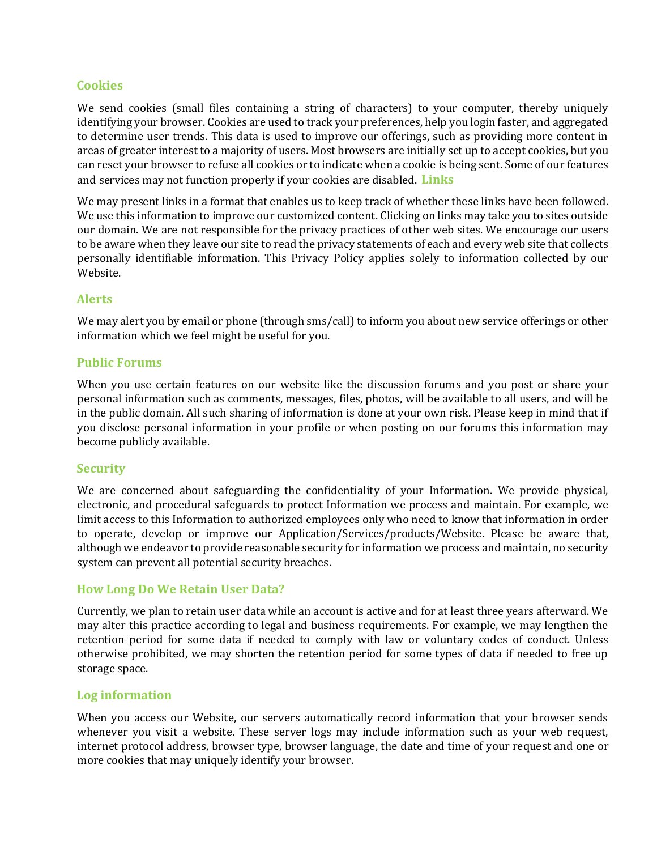## **Cookies**

We send cookies (small files containing a string of characters) to your computer, thereby uniquely identifying your browser. Cookies are used to track your preferences, help you login faster, and aggregated to determine user trends. This data is used to improve our offerings, such as providing more content in areas of greater interest to a majority of users. Most browsers are initially set up to accept cookies, but you can reset your browser to refuse all cookies or to indicate when a cookie is being sent. Some of our features and services may not function properly if your cookies are disabled. **Links**

We may present links in a format that enables us to keep track of whether these links have been followed. We use this information to improve our customized content. Clicking on links may take you to sites outside our domain. We are not responsible for the privacy practices of other web sites. We encourage our users to be aware when they leave our site to read the privacy statements of each and every web site that collects personally identifiable information. This Privacy Policy applies solely to information collected by our Website.

## **Alerts**

We may alert you by email or phone (through sms/call) to inform you about new service offerings or other information which we feel might be useful for you.

#### **Public Forums**

When you use certain features on our website like the discussion forums and you post or share your personal information such as comments, messages, files, photos, will be available to all users, and will be in the public domain. All such sharing of information is done at your own risk. Please keep in mind that if you disclose personal information in your profile or when posting on our forums this information may become publicly available.

#### **Security**

We are concerned about safeguarding the confidentiality of your Information. We provide physical, electronic, and procedural safeguards to protect Information we process and maintain. For example, we limit access to this Information to authorized employees only who need to know that information in order to operate, develop or improve our Application/Services/products/Website. Please be aware that, although we endeavor to provide reasonable security for information we process and maintain, no security system can prevent all potential security breaches.

## **How Long Do We Retain User Data?**

Currently, we plan to retain user data while an account is active and for at least three years afterward. We may alter this practice according to legal and business requirements. For example, we may lengthen the retention period for some data if needed to comply with law or voluntary codes of conduct. Unless otherwise prohibited, we may shorten the retention period for some types of data if needed to free up storage space.

#### **Log information**

When you access our Website, our servers automatically record information that your browser sends whenever you visit a website. These server logs may include information such as your web request, internet protocol address, browser type, browser language, the date and time of your request and one or more cookies that may uniquely identify your browser.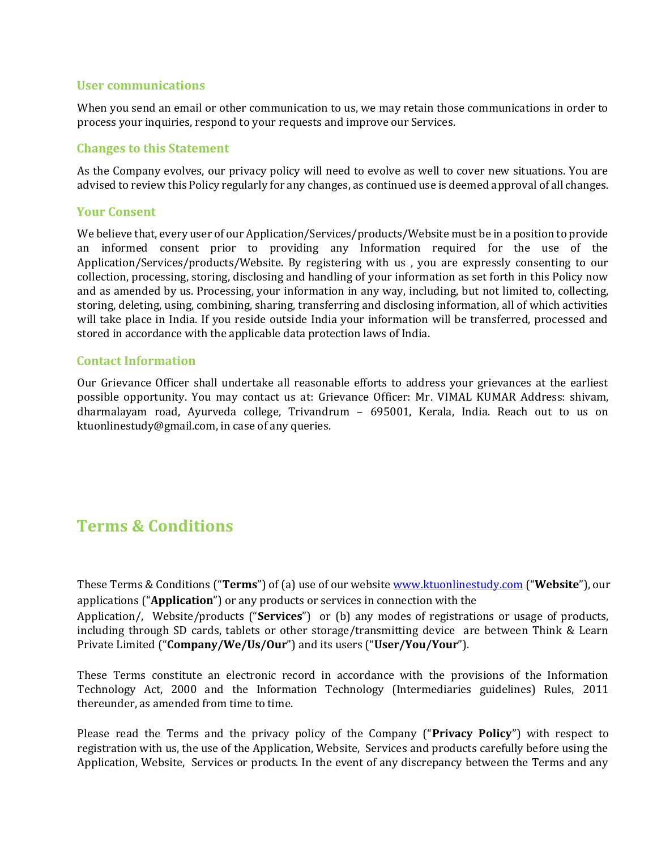## **User communications**

When you send an email or other communication to us, we may retain those communications in order to process your inquiries, respond to your requests and improve our Services.

#### **Changes to this Statement**

As the Company evolves, our privacy policy will need to evolve as well to cover new situations. You are advised to review this Policy regularly for any changes, as continued use is deemed approval of all changes.

#### **Your Consent**

We believe that, every user of our Application/Services/products/Website must be in a position to provide an informed consent prior to providing any Information required for the use of the Application/Services/products/Website. By registering with us , you are expressly consenting to our collection, processing, storing, disclosing and handling of your information as set forth in this Policy now and as amended by us. Processing, your information in any way, including, but not limited to, collecting, storing, deleting, using, combining, sharing, transferring and disclosing information, all of which activities will take place in India. If you reside outside India your information will be transferred, processed and stored in accordance with the applicable data protection laws of India.

#### **Contact Information**

Our Grievance Officer shall undertake all reasonable efforts to address your grievances at the earliest possible opportunity. You may contact us at: Grievance Officer: Mr. VIMAL KUMAR Address: shivam, dharmalayam road, Ayurveda college, Trivandrum – 695001, Kerala, India. Reach out to us on ktuonlinestudy@gmail.com, in case of any queries.

## **Terms & Conditions**

These Terms & Conditions ("**Terms**") of (a) use of our website [www.ktuonlinestudy.com](http://www.ktuonlinestudy.com/) ("**Website**"), our applications ("**Application**") or any products or services in connection with the Application/, Website/products ("**Services**") or (b) any modes of registrations or usage of products, including through SD cards, tablets or other storage/transmitting device are between Think & Learn

Private Limited ("**Company/We/Us/Our**") and its users ("**User/You/Your**").

These Terms constitute an electronic record in accordance with the provisions of the Information Technology Act, 2000 and the Information Technology (Intermediaries guidelines) Rules, 2011 thereunder, as amended from time to time.

Please read the Terms and the privacy policy of the Company ("**Privacy Policy**") with respect to registration with us, the use of the Application, Website, Services and products carefully before using the Application, Website, Services or products. In the event of any discrepancy between the Terms and any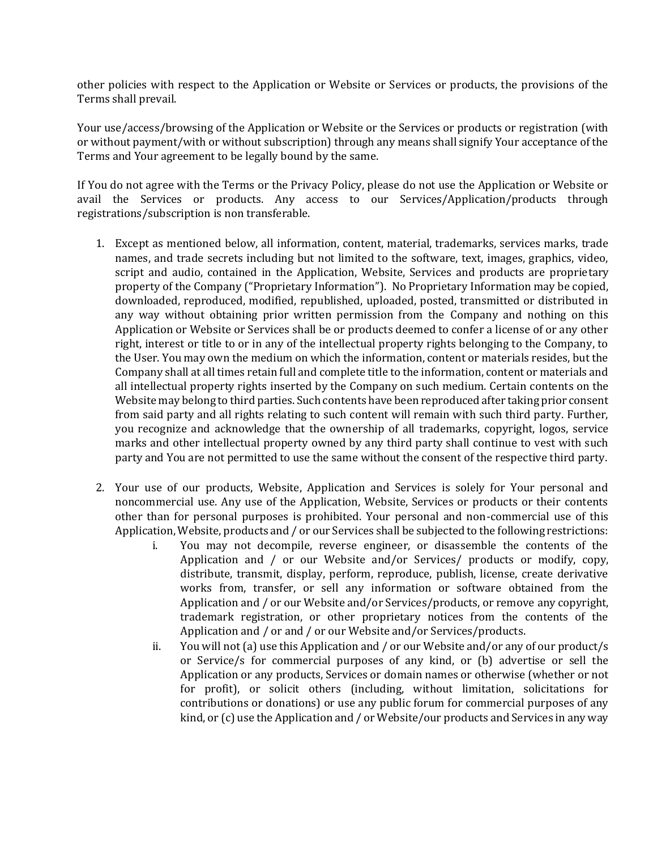other policies with respect to the Application or Website or Services or products, the provisions of the Terms shall prevail.

Your use/access/browsing of the Application or Website or the Services or products or registration (with or without payment/with or without subscription) through any means shall signify Your acceptance of the Terms and Your agreement to be legally bound by the same.

If You do not agree with the Terms or the Privacy Policy, please do not use the Application or Website or avail the Services or products. Any access to our Services/Application/products through registrations/subscription is non transferable.

- 1. Except as mentioned below, all information, content, material, trademarks, services marks, trade names, and trade secrets including but not limited to the software, text, images, graphics, video, script and audio, contained in the Application, Website, Services and products are proprietary property of the Company ("Proprietary Information"). No Proprietary Information may be copied, downloaded, reproduced, modified, republished, uploaded, posted, transmitted or distributed in any way without obtaining prior written permission from the Company and nothing on this Application or Website or Services shall be or products deemed to confer a license of or any other right, interest or title to or in any of the intellectual property rights belonging to the Company, to the User. You may own the medium on which the information, content or materials resides, but the Company shall at all times retain full and complete title to the information, content or materials and all intellectual property rights inserted by the Company on such medium. Certain contents on the Website may belong to third parties. Such contents have been reproduced after taking prior consent from said party and all rights relating to such content will remain with such third party. Further, you recognize and acknowledge that the ownership of all trademarks, copyright, logos, service marks and other intellectual property owned by any third party shall continue to vest with such party and You are not permitted to use the same without the consent of the respective third party.
- 2. Your use of our products, Website, Application and Services is solely for Your personal and noncommercial use. Any use of the Application, Website, Services or products or their contents other than for personal purposes is prohibited. Your personal and non-commercial use of this Application, Website, products and / or our Services shall be subjected to the following restrictions:
	- i. You may not decompile, reverse engineer, or disassemble the contents of the Application and / or our Website and/or Services/ products or modify, copy, distribute, transmit, display, perform, reproduce, publish, license, create derivative works from, transfer, or sell any information or software obtained from the Application and / or our Website and/or Services/products, or remove any copyright, trademark registration, or other proprietary notices from the contents of the Application and / or and / or our Website and/or Services/products.
	- ii. You will not (a) use this Application and / or our Website and/or any of our product/s or Service/s for commercial purposes of any kind, or (b) advertise or sell the Application or any products, Services or domain names or otherwise (whether or not for profit), or solicit others (including, without limitation, solicitations for contributions or donations) or use any public forum for commercial purposes of any kind, or (c) use the Application and / or Website/our products and Services in any way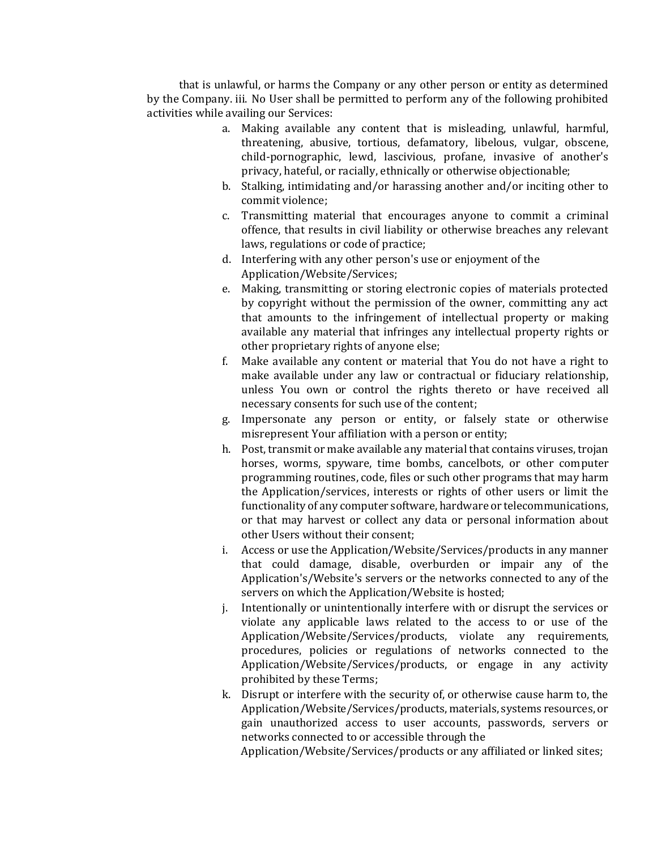that is unlawful, or harms the Company or any other person or entity as determined by the Company. iii. No User shall be permitted to perform any of the following prohibited activities while availing our Services:

- a. Making available any content that is misleading, unlawful, harmful, threatening, abusive, tortious, defamatory, libelous, vulgar, obscene, child-pornographic, lewd, lascivious, profane, invasive of another's privacy, hateful, or racially, ethnically or otherwise objectionable;
- b. Stalking, intimidating and/or harassing another and/or inciting other to commit violence;
- c. Transmitting material that encourages anyone to commit a criminal offence, that results in civil liability or otherwise breaches any relevant laws, regulations or code of practice;
- d. Interfering with any other person's use or enjoyment of the Application/Website/Services;
- e. Making, transmitting or storing electronic copies of materials protected by copyright without the permission of the owner, committing any act that amounts to the infringement of intellectual property or making available any material that infringes any intellectual property rights or other proprietary rights of anyone else;
- f. Make available any content or material that You do not have a right to make available under any law or contractual or fiduciary relationship, unless You own or control the rights thereto or have received all necessary consents for such use of the content;
- g. Impersonate any person or entity, or falsely state or otherwise misrepresent Your affiliation with a person or entity;
- h. Post, transmit or make available any material that contains viruses, trojan horses, worms, spyware, time bombs, cancelbots, or other computer programming routines, code, files or such other programs that may harm the Application/services, interests or rights of other users or limit the functionality of any computer software, hardware or telecommunications, or that may harvest or collect any data or personal information about other Users without their consent;
- i. Access or use the Application/Website/Services/products in any manner that could damage, disable, overburden or impair any of the Application's/Website's servers or the networks connected to any of the servers on which the Application/Website is hosted;
- j. Intentionally or unintentionally interfere with or disrupt the services or violate any applicable laws related to the access to or use of the Application/Website/Services/products, violate any requirements, procedures, policies or regulations of networks connected to the Application/Website/Services/products, or engage in any activity prohibited by these Terms;
- k. Disrupt or interfere with the security of, or otherwise cause harm to, the Application/Website/Services/products, materials, systems resources, or gain unauthorized access to user accounts, passwords, servers or networks connected to or accessible through the

Application/Website/Services/products or any affiliated or linked sites;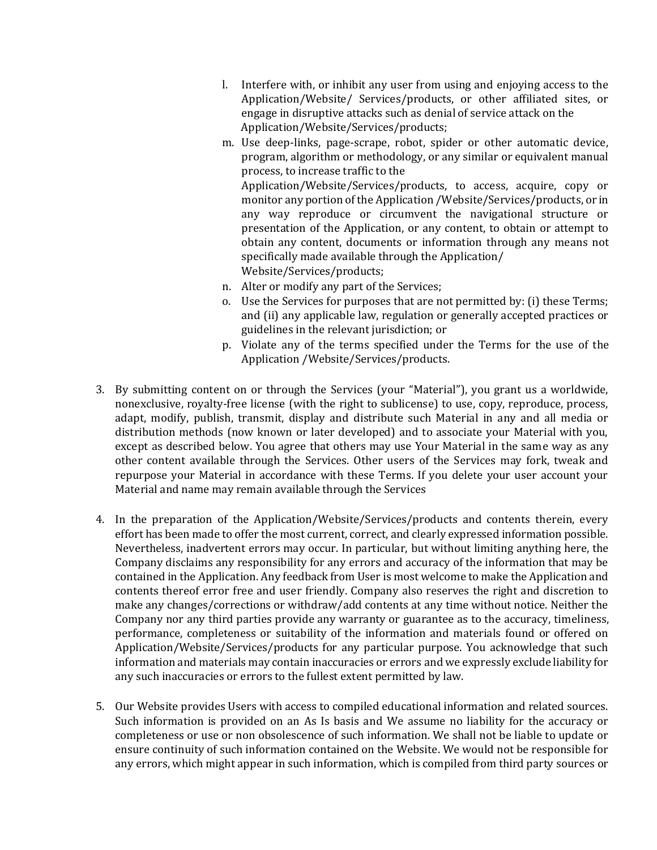- l. Interfere with, or inhibit any user from using and enjoying access to the Application/Website/ Services/products, or other affiliated sites, or engage in disruptive attacks such as denial of service attack on the Application/Website/Services/products;
- m. Use deep-links, page-scrape, robot, spider or other automatic device, program, algorithm or methodology, or any similar or equivalent manual process, to increase traffic to the Application/Website/Services/products, to access, acquire, copy or monitor any portion of the Application /Website/Services/products, or in any way reproduce or circumvent the navigational structure or presentation of the Application, or any content, to obtain or attempt to obtain any content, documents or information through any means not specifically made available through the Application/ Website/Services/products;
- n. Alter or modify any part of the Services;
- o. Use the Services for purposes that are not permitted by: (i) these Terms; and (ii) any applicable law, regulation or generally accepted practices or guidelines in the relevant jurisdiction; or
- p. Violate any of the terms specified under the Terms for the use of the Application /Website/Services/products.
- 3. By submitting content on or through the Services (your "Material"), you grant us a worldwide, nonexclusive, royalty-free license (with the right to sublicense) to use, copy, reproduce, process, adapt, modify, publish, transmit, display and distribute such Material in any and all media or distribution methods (now known or later developed) and to associate your Material with you, except as described below. You agree that others may use Your Material in the same way as any other content available through the Services. Other users of the Services may fork, tweak and repurpose your Material in accordance with these Terms. If you delete your user account your Material and name may remain available through the Services
- 4. In the preparation of the Application/Website/Services/products and contents therein, every effort has been made to offer the most current, correct, and clearly expressed information possible. Nevertheless, inadvertent errors may occur. In particular, but without limiting anything here, the Company disclaims any responsibility for any errors and accuracy of the information that may be contained in the Application. Any feedback from User is most welcome to make the Application and contents thereof error free and user friendly. Company also reserves the right and discretion to make any changes/corrections or withdraw/add contents at any time without notice. Neither the Company nor any third parties provide any warranty or guarantee as to the accuracy, timeliness, performance, completeness or suitability of the information and materials found or offered on Application/Website/Services/products for any particular purpose. You acknowledge that such information and materials may contain inaccuracies or errors and we expressly exclude liability for any such inaccuracies or errors to the fullest extent permitted by law.
- 5. Our Website provides Users with access to compiled educational information and related sources. Such information is provided on an As Is basis and We assume no liability for the accuracy or completeness or use or non obsolescence of such information. We shall not be liable to update or ensure continuity of such information contained on the Website. We would not be responsible for any errors, which might appear in such information, which is compiled from third party sources or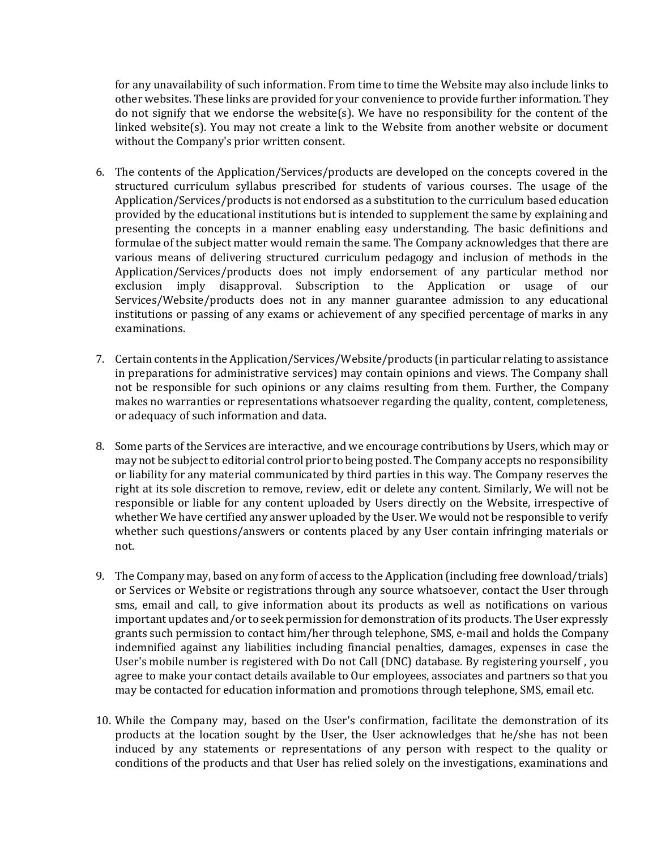for any unavailability of such information. From time to time the Website may also include links to other websites. These links are provided for your convenience to provide further information. They do not signify that we endorse the website(s). We have no responsibility for the content of the linked website(s). You may not create a link to the Website from another website or document without the Company's prior written consent.

- 6. The contents of the Application/Services/products are developed on the concepts covered in the structured curriculum syllabus prescribed for students of various courses. The usage of the Application/Services/products is not endorsed as a substitution to the curriculum based education provided by the educational institutions but is intended to supplement the same by explaining and presenting the concepts in a manner enabling easy understanding. The basic definitions and formulae of the subject matter would remain the same. The Company acknowledges that there are various means of delivering structured curriculum pedagogy and inclusion of methods in the Application/Services/products does not imply endorsement of any particular method nor exclusion imply disapproval. Subscription to the Application or usage of our Services/Website/products does not in any manner guarantee admission to any educational institutions or passing of any exams or achievement of any specified percentage of marks in any examinations.
- 7. Certain contents in the Application/Services/Website/products (in particular relating to assistance in preparations for administrative services) may contain opinions and views. The Company shall not be responsible for such opinions or any claims resulting from them. Further, the Company makes no warranties or representations whatsoever regarding the quality, content, completeness, or adequacy of such information and data.
- 8. Some parts of the Services are interactive, and we encourage contributions by Users, which may or may not be subject to editorial control prior to being posted. The Company accepts no responsibility or liability for any material communicated by third parties in this way. The Company reserves the right at its sole discretion to remove, review, edit or delete any content. Similarly, We will not be responsible or liable for any content uploaded by Users directly on the Website, irrespective of whether We have certified any answer uploaded by the User. We would not be responsible to verify whether such questions/answers or contents placed by any User contain infringing materials or not.
- 9. The Company may, based on any form of access to the Application (including free download/trials) or Services or Website or registrations through any source whatsoever, contact the User through sms, email and call, to give information about its products as well as notifications on various important updates and/or to seek permission for demonstration of its products. The User expressly grants such permission to contact him/her through telephone, SMS, e-mail and holds the Company indemnified against any liabilities including financial penalties, damages, expenses in case the User's mobile number is registered with Do not Call (DNC) database. By registering yourself , you agree to make your contact details available to Our employees, associates and partners so that you may be contacted for education information and promotions through telephone, SMS, email etc.
- 10. While the Company may, based on the User's confirmation, facilitate the demonstration of its products at the location sought by the User, the User acknowledges that he/she has not been induced by any statements or representations of any person with respect to the quality or conditions of the products and that User has relied solely on the investigations, examinations and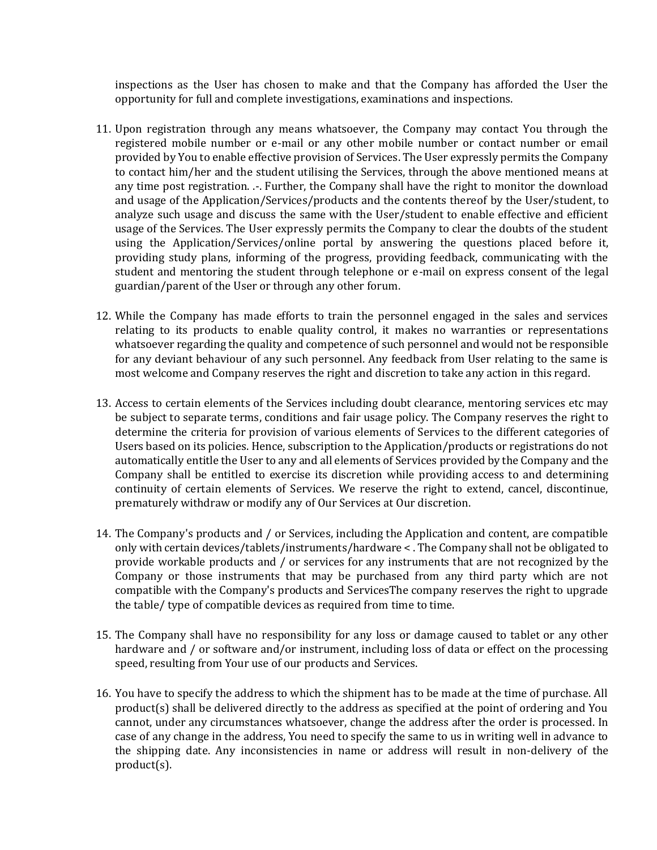inspections as the User has chosen to make and that the Company has afforded the User the opportunity for full and complete investigations, examinations and inspections.

- 11. Upon registration through any means whatsoever, the Company may contact You through the registered mobile number or e-mail or any other mobile number or contact number or email provided by You to enable effective provision of Services. The User expressly permits the Company to contact him/her and the student utilising the Services, through the above mentioned means at any time post registration. .-. Further, the Company shall have the right to monitor the download and usage of the Application/Services/products and the contents thereof by the User/student, to analyze such usage and discuss the same with the User/student to enable effective and efficient usage of the Services. The User expressly permits the Company to clear the doubts of the student using the Application/Services/online portal by answering the questions placed before it, providing study plans, informing of the progress, providing feedback, communicating with the student and mentoring the student through telephone or e-mail on express consent of the legal guardian/parent of the User or through any other forum.
- 12. While the Company has made efforts to train the personnel engaged in the sales and services relating to its products to enable quality control, it makes no warranties or representations whatsoever regarding the quality and competence of such personnel and would not be responsible for any deviant behaviour of any such personnel. Any feedback from User relating to the same is most welcome and Company reserves the right and discretion to take any action in this regard.
- 13. Access to certain elements of the Services including doubt clearance, mentoring services etc may be subject to separate terms, conditions and fair usage policy. The Company reserves the right to determine the criteria for provision of various elements of Services to the different categories of Users based on its policies. Hence, subscription to the Application/products or registrations do not automatically entitle the User to any and all elements of Services provided by the Company and the Company shall be entitled to exercise its discretion while providing access to and determining continuity of certain elements of Services. We reserve the right to extend, cancel, discontinue, prematurely withdraw or modify any of Our Services at Our discretion.
- 14. The Company's products and / or Services, including the Application and content, are compatible only with certain devices/tablets/instruments/hardware < . The Company shall not be obligated to provide workable products and / or services for any instruments that are not recognized by the Company or those instruments that may be purchased from any third party which are not compatible with the Company's products and ServicesThe company reserves the right to upgrade the table/ type of compatible devices as required from time to time.
- 15. The Company shall have no responsibility for any loss or damage caused to tablet or any other hardware and / or software and/or instrument, including loss of data or effect on the processing speed, resulting from Your use of our products and Services.
- 16. You have to specify the address to which the shipment has to be made at the time of purchase. All product(s) shall be delivered directly to the address as specified at the point of ordering and You cannot, under any circumstances whatsoever, change the address after the order is processed. In case of any change in the address, You need to specify the same to us in writing well in advance to the shipping date. Any inconsistencies in name or address will result in non-delivery of the product(s).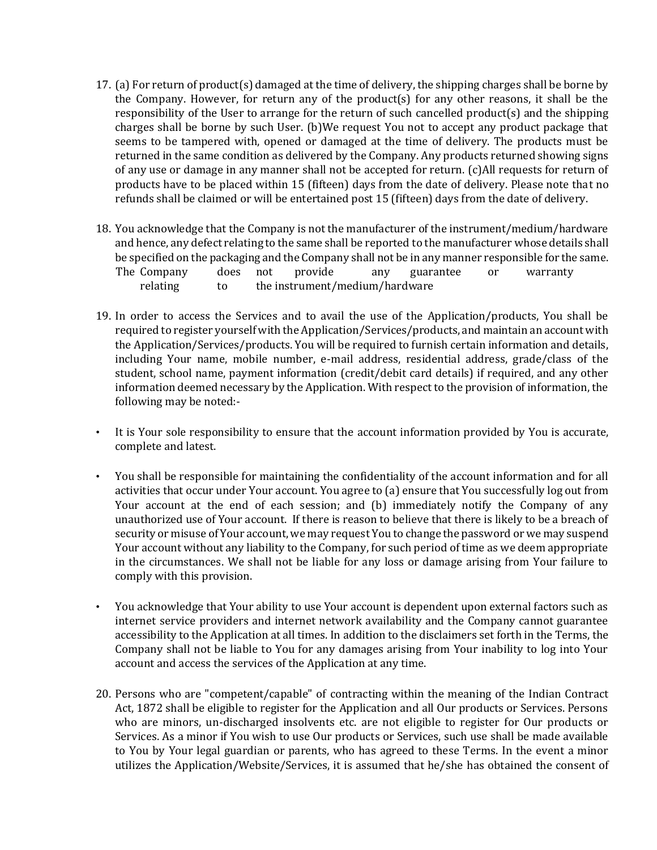- 17. (a) For return of product(s) damaged at the time of delivery, the shipping charges shall be borne by the Company. However, for return any of the product(s) for any other reasons, it shall be the responsibility of the User to arrange for the return of such cancelled product(s) and the shipping charges shall be borne by such User. (b)We request You not to accept any product package that seems to be tampered with, opened or damaged at the time of delivery. The products must be returned in the same condition as delivered by the Company. Any products returned showing signs of any use or damage in any manner shall not be accepted for return. (c)All requests for return of products have to be placed within 15 (fifteen) days from the date of delivery. Please note that no refunds shall be claimed or will be entertained post 15 (fifteen) days from the date of delivery.
- 18. You acknowledge that the Company is not the manufacturer of the instrument/medium/hardware and hence, any defect relating to the same shall be reported to the manufacturer whose details shall be specified on the packaging and the Company shall not be in any manner responsible for the same. The Company does not provide any guarantee or warranty relating to the instrument/medium/hardware
- 19. In order to access the Services and to avail the use of the Application/products, You shall be required to register yourself with the Application/Services/products, and maintain an account with the Application/Services/products. You will be required to furnish certain information and details, including Your name, mobile number, e-mail address, residential address, grade/class of the student, school name, payment information (credit/debit card details) if required, and any other information deemed necessary by the Application. With respect to the provision of information, the following may be noted:-
- It is Your sole responsibility to ensure that the account information provided by You is accurate, complete and latest.
- You shall be responsible for maintaining the confidentiality of the account information and for all activities that occur under Your account. You agree to (a) ensure that You successfully log out from Your account at the end of each session; and (b) immediately notify the Company of any unauthorized use of Your account. If there is reason to believe that there is likely to be a breach of security or misuse of Your account, we may request You to change the password or we may suspend Your account without any liability to the Company, for such period of time as we deem appropriate in the circumstances. We shall not be liable for any loss or damage arising from Your failure to comply with this provision.
- You acknowledge that Your ability to use Your account is dependent upon external factors such as internet service providers and internet network availability and the Company cannot guarantee accessibility to the Application at all times. In addition to the disclaimers set forth in the Terms, the Company shall not be liable to You for any damages arising from Your inability to log into Your account and access the services of the Application at any time.
- 20. Persons who are "competent/capable" of contracting within the meaning of the Indian Contract Act, 1872 shall be eligible to register for the Application and all Our products or Services. Persons who are minors, un-discharged insolvents etc. are not eligible to register for Our products or Services. As a minor if You wish to use Our products or Services, such use shall be made available to You by Your legal guardian or parents, who has agreed to these Terms. In the event a minor utilizes the Application/Website/Services, it is assumed that he/she has obtained the consent of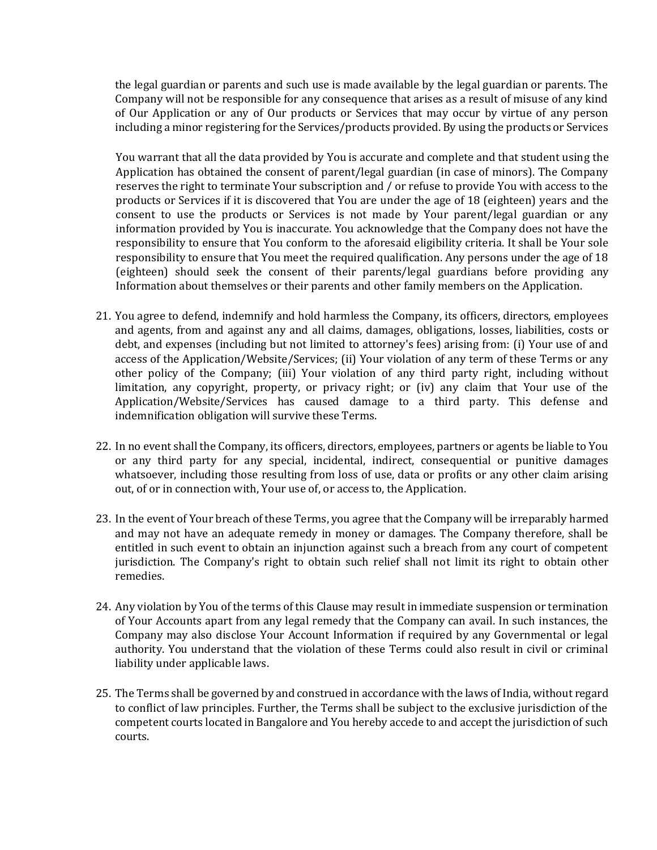the legal guardian or parents and such use is made available by the legal guardian or parents. The Company will not be responsible for any consequence that arises as a result of misuse of any kind of Our Application or any of Our products or Services that may occur by virtue of any person including a minor registering for the Services/products provided. By using the products or Services

You warrant that all the data provided by You is accurate and complete and that student using the Application has obtained the consent of parent/legal guardian (in case of minors). The Company reserves the right to terminate Your subscription and / or refuse to provide You with access to the products or Services if it is discovered that You are under the age of 18 (eighteen) years and the consent to use the products or Services is not made by Your parent/legal guardian or any information provided by You is inaccurate. You acknowledge that the Company does not have the responsibility to ensure that You conform to the aforesaid eligibility criteria. It shall be Your sole responsibility to ensure that You meet the required qualification. Any persons under the age of 18 (eighteen) should seek the consent of their parents/legal guardians before providing any Information about themselves or their parents and other family members on the Application.

- 21. You agree to defend, indemnify and hold harmless the Company, its officers, directors, employees and agents, from and against any and all claims, damages, obligations, losses, liabilities, costs or debt, and expenses (including but not limited to attorney's fees) arising from: (i) Your use of and access of the Application/Website/Services; (ii) Your violation of any term of these Terms or any other policy of the Company; (iii) Your violation of any third party right, including without limitation, any copyright, property, or privacy right; or (iv) any claim that Your use of the Application/Website/Services has caused damage to a third party. This defense and indemnification obligation will survive these Terms.
- 22. In no event shall the Company, its officers, directors, employees, partners or agents be liable to You or any third party for any special, incidental, indirect, consequential or punitive damages whatsoever, including those resulting from loss of use, data or profits or any other claim arising out, of or in connection with, Your use of, or access to, the Application.
- 23. In the event of Your breach of these Terms, you agree that the Company will be irreparably harmed and may not have an adequate remedy in money or damages. The Company therefore, shall be entitled in such event to obtain an injunction against such a breach from any court of competent jurisdiction. The Company's right to obtain such relief shall not limit its right to obtain other remedies.
- 24. Any violation by You of the terms of this Clause may result in immediate suspension or termination of Your Accounts apart from any legal remedy that the Company can avail. In such instances, the Company may also disclose Your Account Information if required by any Governmental or legal authority. You understand that the violation of these Terms could also result in civil or criminal liability under applicable laws.
- 25. The Terms shall be governed by and construed in accordance with the laws of India, without regard to conflict of law principles. Further, the Terms shall be subject to the exclusive jurisdiction of the competent courts located in Bangalore and You hereby accede to and accept the jurisdiction of such courts.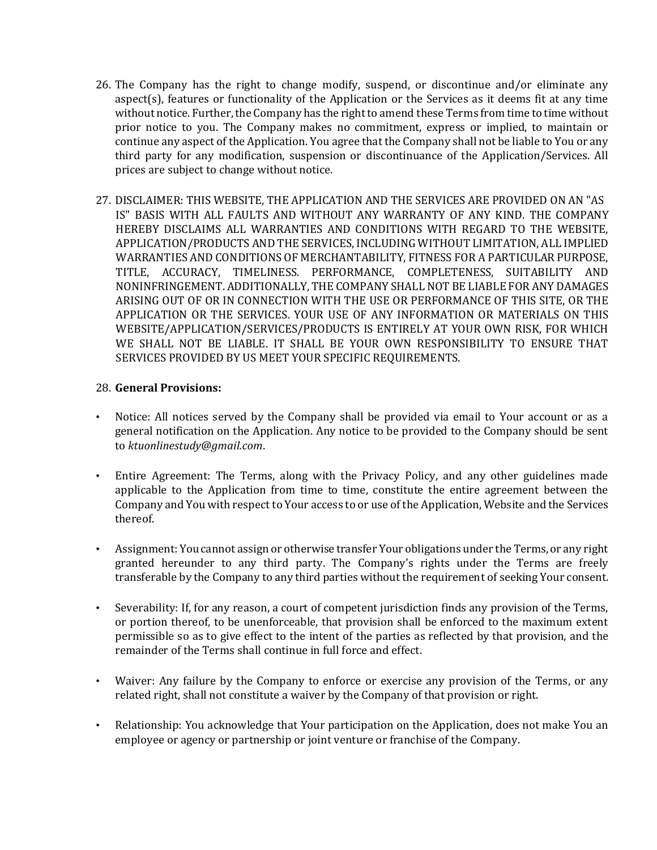- 26. The Company has the right to change modify, suspend, or discontinue and/or eliminate any aspect(s), features or functionality of the Application or the Services as it deems fit at any time without notice. Further, the Company has the right to amend these Terms from time to time without prior notice to you. The Company makes no commitment, express or implied, to maintain or continue any aspect of the Application. You agree that the Company shall not be liable to You or any third party for any modification, suspension or discontinuance of the Application/Services. All prices are subject to change without notice.
- 27. DISCLAIMER: THIS WEBSITE, THE APPLICATION AND THE SERVICES ARE PROVIDED ON AN "AS IS" BASIS WITH ALL FAULTS AND WITHOUT ANY WARRANTY OF ANY KIND. THE COMPANY HEREBY DISCLAIMS ALL WARRANTIES AND CONDITIONS WITH REGARD TO THE WEBSITE, APPLICATION/PRODUCTS AND THE SERVICES, INCLUDING WITHOUT LIMITATION, ALL IMPLIED WARRANTIES AND CONDITIONS OF MERCHANTABILITY, FITNESS FOR A PARTICULAR PURPOSE, TITLE, ACCURACY, TIMELINESS. PERFORMANCE, COMPLETENESS, SUITABILITY AND NONINFRINGEMENT. ADDITIONALLY, THE COMPANY SHALL NOT BE LIABLE FOR ANY DAMAGES ARISING OUT OF OR IN CONNECTION WITH THE USE OR PERFORMANCE OF THIS SITE, OR THE APPLICATION OR THE SERVICES. YOUR USE OF ANY INFORMATION OR MATERIALS ON THIS WEBSITE/APPLICATION/SERVICES/PRODUCTS IS ENTIRELY AT YOUR OWN RISK, FOR WHICH WE SHALL NOT BE LIABLE. IT SHALL BE YOUR OWN RESPONSIBILITY TO ENSURE THAT SERVICES PROVIDED BY US MEET YOUR SPECIFIC REQUIREMENTS.

#### 28. **General Provisions:**

- Notice: All notices served by the Company shall be provided via email to Your account or as a general notification on the Application. Any notice to be provided to the Company should be sent to *ktuonlinestudy@gmail.com*.
- Entire Agreement: The Terms, along with the Privacy Policy, and any other guidelines made applicable to the Application from time to time, constitute the entire agreement between the Company and You with respect to Your access to or use of the Application, Website and the Services thereof.
- Assignment: You cannot assign or otherwise transfer Your obligations under the Terms, or any right granted hereunder to any third party. The Company's rights under the Terms are freely transferable by the Company to any third parties without the requirement of seeking Your consent.
- Severability: If, for any reason, a court of competent jurisdiction finds any provision of the Terms, or portion thereof, to be unenforceable, that provision shall be enforced to the maximum extent permissible so as to give effect to the intent of the parties as reflected by that provision, and the remainder of the Terms shall continue in full force and effect.
- Waiver: Any failure by the Company to enforce or exercise any provision of the Terms, or any related right, shall not constitute a waiver by the Company of that provision or right.
- Relationship: You acknowledge that Your participation on the Application, does not make You an employee or agency or partnership or joint venture or franchise of the Company.